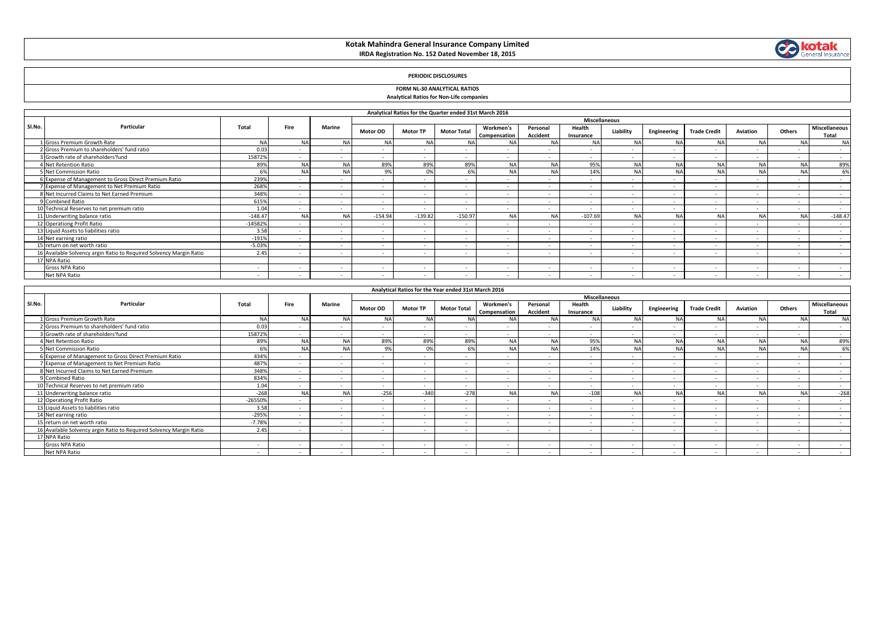## **Kotak Mahindra General Insurance Company Limited IRDA Registration No. 152 Dated November 18, 2015**



### **PERIODIC DISCLOSURES**

### **FORM NL-30 ANALYTICAL RATIOS Analytical Ratios for Non-Life companies**

|        |                                                                     |           |           |                 |                          | Analytical Ratios for the Quarter ended 31st March 2016 |                    |                           |                          |                          |                          |                          |                          |                          |                          |                               |
|--------|---------------------------------------------------------------------|-----------|-----------|-----------------|--------------------------|---------------------------------------------------------|--------------------|---------------------------|--------------------------|--------------------------|--------------------------|--------------------------|--------------------------|--------------------------|--------------------------|-------------------------------|
|        | Particular                                                          |           | Fire      | Marine          |                          |                                                         |                    |                           |                          |                          | <b>Miscellaneous</b>     |                          |                          |                          |                          |                               |
| SI.No. |                                                                     | Total     |           |                 | Motor OD                 | <b>Motor TP</b>                                         | <b>Motor Total</b> | Workmen's<br>Compensation | Personal<br>Accident     | Health<br>Insurance      | Liability                | Engineering              | <b>Trade Credit</b>      | Aviation                 | Others                   | <b>Miscellaneous</b><br>Total |
|        | L Gross Premium Growth Rate                                         | <b>NA</b> | <b>NA</b> | <b>NA</b>       |                          |                                                         | <b>NA</b>          | NA                        |                          |                          | N <sub>A</sub>           | <b>NA</b>                | <b>NA</b>                |                          | <b>NA</b>                | <b>NA</b>                     |
|        | Gross Premium to shareholders' fund ratio                           | 0.03      |           |                 | $\sim$                   | $\sim$                                                  | . .                | $\sim$                    | $\sim$                   | $\sim$                   |                          |                          |                          | . .                      | $\sim$                   | $\sim$                        |
|        | Growth rate of shareholders'fund                                    | 15872%    |           |                 | . .                      | $\sim$                                                  |                    | $\overline{\phantom{a}}$  |                          | $\sim$                   |                          |                          |                          | $\overline{a}$           | $\sim$                   | . .                           |
|        | 4 Net Retention Ratio                                               | 89%       | <b>NA</b> | NA              | 89%                      | 89%                                                     | 89%                | <b>NA</b>                 | <b>NA</b>                | 95%                      | N <sub>A</sub>           | <b>NA</b>                | <b>NA</b>                |                          | NA                       | 89%                           |
|        | 5 Net Commission Ratio                                              | 6%        | <b>NA</b> | <b>NA</b>       | 9%                       | 0%                                                      | 6%                 | <b>NA</b>                 | <b>NA</b>                | 14%                      | <b>NA</b>                | <b>NA</b>                |                          | <b>NA</b>                | NA                       | 6%                            |
|        | 6 Expense of Management to Gross Direct Premium Ratio               | 239%      | $\sim$    |                 | . .                      | $\sim$                                                  |                    |                           | $\sim$                   | $\sim$                   | $\overline{\phantom{a}}$ | <b>.</b>                 | $\sim$                   | $\overline{\phantom{a}}$ | $\overline{\phantom{a}}$ | . .                           |
|        | 7 Expense of Management to Net Premium Ratio                        | 268%      | . .       | $\sim$          | $\overline{\phantom{a}}$ |                                                         |                    |                           |                          | $\sim$                   |                          | $\overline{\phantom{a}}$ | $\overline{\phantom{a}}$ | $\overline{\phantom{a}}$ | $\sim$                   | $\sim$                        |
|        | 8 Net Incurred Claims to Net Earned Premium                         | 348%      |           |                 | $\overline{\phantom{a}}$ | $\sim$                                                  |                    |                           |                          |                          |                          |                          |                          | $\overline{\phantom{a}}$ | $\sim$                   | . .                           |
|        | 9 Combined Ratio                                                    | 615%      |           |                 | . .                      | $\sim$                                                  |                    |                           | $\overline{\phantom{a}}$ |                          |                          |                          |                          | . .                      | $\sim$                   | . .                           |
|        | 10 Technical Reserves to net premium ratio                          | 1.04      |           |                 |                          |                                                         |                    |                           |                          |                          |                          |                          |                          | ۰.                       | $\sim$                   | $\sim$                        |
|        | 11 Underwriting balance ratio                                       | $-148.47$ | <b>NA</b> | <b>NA</b>       | $-154.94$                | $-139.82$                                               | $-150.97$          | <b>NA</b>                 | <b>NA</b>                | $-107.69$                | N <sub>A</sub>           | <b>NA</b>                | <b>NA</b>                | <b>NA</b>                | <b>NA</b>                | $-148.47$                     |
|        | 12 Operationg Profit Ratio                                          | $-14582%$ | $\sim$    | $\sim$          | $\sim$                   | $\sim$                                                  | $\sim$             | $\sim$                    | $\sim$                   | . .                      | $\overline{\phantom{a}}$ |                          |                          | . .                      | $\sim$                   | . .                           |
|        | 13 Liquid Assets to liabilities ratio                               | 3.58      |           |                 | . .                      | $\sim$                                                  |                    |                           |                          | $\overline{\phantom{a}}$ | $\overline{\phantom{a}}$ |                          |                          | $\overline{\phantom{a}}$ | $\sim$                   | $\sim$                        |
|        | 14 Net earning ratio                                                | $-191%$   |           | <b>Contract</b> | $\sim$                   | . .                                                     |                    |                           |                          |                          |                          |                          |                          | $\overline{\phantom{a}}$ | $\overline{a}$           |                               |
|        | 15 return on net worth ratio                                        | $-5.03%$  |           | <b>Contract</b> | $\sim$                   | $\sim$                                                  |                    |                           |                          |                          |                          |                          |                          | . .                      | $\sim$                   | $\sim$                        |
|        | 16 Available Solvency argin Ratio to Required Solvency Margin Ratio | 2.45      |           |                 | $\sim$                   | $\sim$                                                  |                    |                           | $\sim$                   |                          |                          |                          |                          | $\sim$                   | $\sim$                   |                               |
|        | 17 NPA Ratio                                                        |           |           |                 |                          |                                                         |                    |                           |                          |                          |                          |                          |                          |                          |                          |                               |
|        | Gross NPA Ratio                                                     |           |           |                 |                          |                                                         |                    |                           |                          |                          |                          |                          |                          | ۰.                       | $\sim$                   |                               |
|        | Net NPA Ratio                                                       |           |           |                 |                          |                                                         |                    |                           |                          |                          |                          |                          |                          |                          | $\sim$                   |                               |

|        | Analytical Ratios for the Year ended 31st March 2016<br><b>Miscellaneous</b> |           |           |               |                          |                          |                    |                           |                          |                     |           |             |                          |                          |           |                        |
|--------|------------------------------------------------------------------------------|-----------|-----------|---------------|--------------------------|--------------------------|--------------------|---------------------------|--------------------------|---------------------|-----------|-------------|--------------------------|--------------------------|-----------|------------------------|
|        |                                                                              |           |           |               |                          |                          |                    |                           |                          |                     |           |             |                          |                          |           |                        |
| SI.No. | Particular                                                                   | Total     | Fire      | <b>Marine</b> | Motor OD                 | <b>Motor TP</b>          | <b>Motor Total</b> | Workmen's<br>Compensation | Personal<br>Accident     | Health<br>Insurance | Liability | Engineering | <b>Trade Credit</b>      | Aviation                 | Others    | Miscellaneous<br>Total |
|        | 1 Gross Premium Growth Rate                                                  | <b>NA</b> | <b>NA</b> | <b>NA</b>     | <b>NA</b>                | <b>NA</b>                | <b>NA</b>          | <b>NA</b>                 | <b>NA</b>                | <b>NA</b>           | <b>NA</b> | <b>NA</b>   |                          | <b>NA</b>                | <b>NA</b> | <b>NA</b>              |
|        | 2 Gross Premium to shareholders' fund ratio                                  | 0.03      |           |               | . .                      |                          |                    |                           |                          |                     |           |             |                          | . .                      |           | $\sim$                 |
|        | 3 Growth rate of shareholders'fund                                           | 15872%    |           | $\sim$        | $\overline{\phantom{a}}$ | $\sim$                   | - 11               | . .                       | . .                      | $\sim$              |           |             | . .                      | . .                      | . .       | $\sim$                 |
|        | 4 Net Retention Ratio                                                        | 89%       | <b>NA</b> | <b>NA</b>     | 89%                      | 89%                      | 89%                | <b>NA</b>                 | <b>NA</b>                | 95%                 | <b>NA</b> | <b>NA</b>   |                          | <b>NA</b>                | <b>NA</b> | 89%                    |
|        | 5 Net Commission Ratio                                                       | 6%        | <b>NA</b> | <b>NA</b>     | 9%                       | 0%                       | 6%                 | <b>NA</b>                 | <b>NA</b>                | 14%                 | <b>NA</b> | <b>NA</b>   | <b>NA</b>                | <b>NA</b>                | <b>NA</b> | 6%                     |
|        | 6 Expense of Management to Gross Direct Premium Ratio                        | 434%      | . .       | . .           | . .                      |                          |                    |                           | . .                      |                     | . .       |             | . .                      | . .                      |           | . .                    |
|        | 7 Expense of Management to Net Premium Ratio                                 | 487%      | . .       | $\sim$        | $\overline{\phantom{a}}$ | $\sim$                   | . .                |                           | $\sim$                   | $\sim$              | $\sim$    |             | . .                      | $\sim$                   | . .       | $\sim$                 |
|        | 8 Net Incurred Claims to Net Earned Premium                                  | 348%      |           |               |                          |                          |                    |                           |                          |                     |           |             |                          | . .                      |           |                        |
|        | 9 Combined Ratio                                                             | 834%      | . .       | $\sim$        | . .                      | $\sim$                   |                    |                           | $\sim$                   | $\sim$              |           |             | . .                      | $\sim$                   | $\sim$    | $\sim$                 |
|        | 10 Technical Reserves to net premium ratio                                   | 1.04      |           | . .           | . .                      |                          |                    |                           | . .                      |                     |           |             | . .                      | . .                      |           | $\sim$                 |
|        | 11 Underwriting balance ratio                                                | $-268$    | <b>NA</b> | <b>NA</b>     | $-256$                   | $-340$                   | $-278$             | <b>NA</b>                 | <b>NAI</b>               | $-108$              | <b>NA</b> | <b>NA</b>   | <b>NA</b>                | <b>NA</b>                | <b>NA</b> | $-268$                 |
|        | 12 Operationg Profit Ratio                                                   | $-26550%$ |           | $\sim$        | . .                      | $\sim$                   |                    |                           |                          |                     |           |             |                          | . .                      |           |                        |
|        | 13 Liquid Assets to liabilities ratio                                        | 3.58      |           | $\sim$        | . .                      | $\sim$                   | - 11               |                           | . .                      |                     |           |             | . .                      | $\overline{\phantom{a}}$ |           | $\sim$                 |
|        | 14 Net earning ratio                                                         | $-295%$   |           | . .           | $\overline{\phantom{a}}$ | $\overline{\phantom{a}}$ | . .                |                           | $\overline{\phantom{a}}$ | $\sim$              | $\sim$    |             | $\overline{\phantom{a}}$ | $\sim$                   | . .       | $\sim$                 |
|        | 15 return on net worth ratio                                                 | $-7.78%$  |           | $\sim$        | . .                      | $\sim$                   |                    |                           | . .                      |                     |           |             | . .                      | $\sim$                   |           | . .                    |
|        | 16 Available Solvency argin Ratio to Required Solvency Margin Ratio          | 2.45      |           |               | . .                      |                          |                    |                           |                          |                     |           |             |                          | . .                      |           |                        |
|        | 17 NPA Ratio                                                                 |           |           |               |                          |                          |                    |                           |                          |                     |           |             |                          |                          |           |                        |
|        | Gross NPA Ratio                                                              |           |           |               | . .                      |                          |                    |                           |                          |                     |           |             |                          | . .                      |           |                        |
|        | Net NPA Ratio                                                                |           |           |               | . .                      |                          |                    |                           |                          |                     |           |             |                          | . .                      |           |                        |